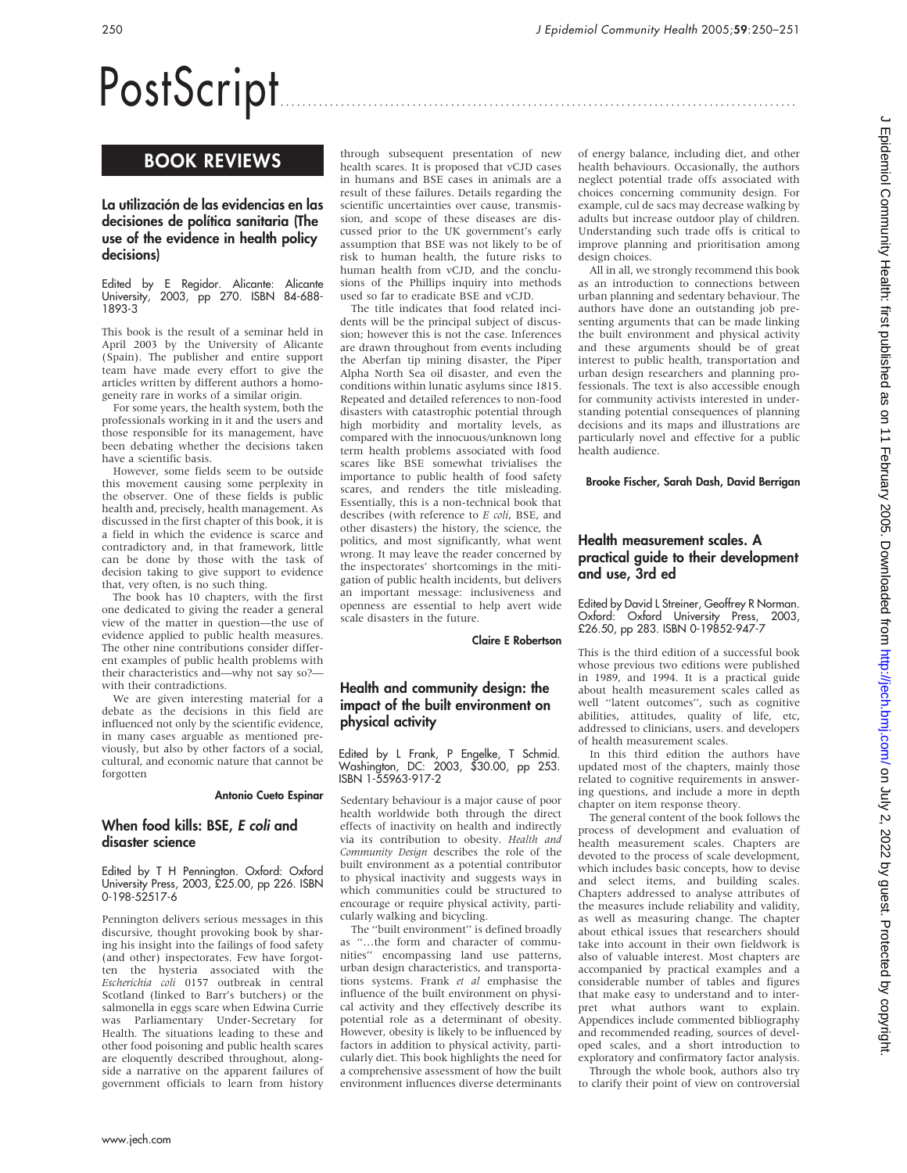# PostScript

# BOOK REVIEWS

## La utilización de las evidencias en las decisiones de política sanitaria (The use of the evidence in health policy decisions)

Edited by E Regidor. Alicante: Alicante University, 2003, pp 270. ISBN 84-688- 1893-3

This book is the result of a seminar held in April 2003 by the University of Alicante (Spain). The publisher and entire support team have made every effort to give the articles written by different authors a homogeneity rare in works of a similar origin.

For some years, the health system, both the professionals working in it and the users and those responsible for its management, have been debating whether the decisions taken have a scientific basis.

However, some fields seem to be outside this movement causing some perplexity in the observer. One of these fields is public health and, precisely, health management. As discussed in the first chapter of this book, it is a field in which the evidence is scarce and contradictory and, in that framework, little can be done by those with the task of decision taking to give support to evidence that, very often, is no such thing.

The book has 10 chapters, with the first one dedicated to giving the reader a general view of the matter in question—the use of evidence applied to public health measures. The other nine contributions consider different examples of public health problems with their characteristics and—why not say so? with their contradictions.

We are given interesting material for a debate as the decisions in this field are influenced not only by the scientific evidence, in many cases arguable as mentioned previously, but also by other factors of a social, cultural, and economic nature that cannot be forgotten

#### Antonio Cueto Espinar

### When food kills: BSE, E coli and disaster science

Edited by T H Pennington. Oxford: Oxford University Press, 2003, £25.00, pp 226. ISBN 0-198-52517-6

Pennington delivers serious messages in this discursive, thought provoking book by sharing his insight into the failings of food safety (and other) inspectorates. Few have forgotten the hysteria associated with the Escherichia coli 0157 outbreak in central Scotland (linked to Barr's butchers) or the salmonella in eggs scare when Edwina Currie was Parliamentary Under-Secretary for Health. The situations leading to these and other food poisoning and public health scares are eloquently described throughout, alongside a narrative on the apparent failures of government officials to learn from history

through subsequent presentation of new health scares. It is proposed that vCJD cases in humans and BSE cases in animals are a result of these failures. Details regarding the scientific uncertainties over cause, transmission, and scope of these diseases are discussed prior to the UK government's early assumption that BSE was not likely to be of risk to human health, the future risks to human health from vCJD, and the conclusions of the Phillips inquiry into methods used so far to eradicate BSE and vCJD.

The title indicates that food related incidents will be the principal subject of discussion; however this is not the case. Inferences are drawn throughout from events including the Aberfan tip mining disaster, the Piper Alpha North Sea oil disaster, and even the conditions within lunatic asylums since 1815. Repeated and detailed references to non-food disasters with catastrophic potential through high morbidity and mortality levels, as compared with the innocuous/unknown long term health problems associated with food scares like BSE somewhat trivialises the importance to public health of food safety scares, and renders the title misleading. Essentially, this is a non-technical book that describes (with reference to E coli, BSE, and other disasters) the history, the science, the politics, and most significantly, what went wrong. It may leave the reader concerned by the inspectorates' shortcomings in the mitigation of public health incidents, but delivers an important message: inclusiveness and openness are essential to help avert wide scale disasters in the future.

Claire E Robertson

## Health and community design: the impact of the built environment on physical activity

Edited by L Frank, P Engelke, T Schmid. Washington, DC: 2003, \$30.00, pp 253. ISBN 1-55963-917-2

Sedentary behaviour is a major cause of poor health worldwide both through the direct effects of inactivity on health and indirectly via its contribution to obesity. Health and Community Design describes the role of the built environment as a potential contributor to physical inactivity and suggests ways in which communities could be structured to encourage or require physical activity, particularly walking and bicycling.

The ''built environment'' is defined broadly as ''…the form and character of communities'' encompassing land use patterns, urban design characteristics, and transportations systems. Frank et al emphasise the influence of the built environment on physical activity and they effectively describe its potential role as a determinant of obesity. However, obesity is likely to be influenced by factors in addition to physical activity, particularly diet. This book highlights the need for a comprehensive assessment of how the built environment influences diverse determinants of energy balance, including diet, and other health behaviours. Occasionally, the authors neglect potential trade offs associated with choices concerning community design. For example, cul de sacs may decrease walking by adults but increase outdoor play of children. Understanding such trade offs is critical to improve planning and prioritisation among design choices.

All in all, we strongly recommend this book as an introduction to connections between urban planning and sedentary behaviour. The authors have done an outstanding job presenting arguments that can be made linking the built environment and physical activity and these arguments should be of great interest to public health, transportation and urban design researchers and planning professionals. The text is also accessible enough for community activists interested in understanding potential consequences of planning decisions and its maps and illustrations are particularly novel and effective for a public health audience.

Brooke Fischer, Sarah Dash, David Berrigan

# Health measurement scales. A practical guide to their development and use, 3rd ed

Edited by David L Streiner, Geoffrey R Norman. Oxford: Oxford University Press, 2003, £26.50, pp 283. ISBN 0-19852-947-7

This is the third edition of a successful book whose previous two editions were published in 1989, and 1994. It is a practical guide about health measurement scales called as well ''latent outcomes'', such as cognitive abilities, attitudes, quality of life, etc, addressed to clinicians, users. and developers of health measurement scales.

In this third edition the authors have updated most of the chapters, mainly those related to cognitive requirements in answering questions, and include a more in depth chapter on item response theory.

The general content of the book follows the process of development and evaluation of health measurement scales. Chapters are devoted to the process of scale development, which includes basic concepts, how to devise and select items, and building scales. Chapters addressed to analyse attributes of the measures include reliability and validity, as well as measuring change. The chapter about ethical issues that researchers should take into account in their own fieldwork is also of valuable interest. Most chapters are accompanied by practical examples and a considerable number of tables and figures that make easy to understand and to interpret what authors want to explain. Appendices include commented bibliography and recommended reading, sources of developed scales, and a short introduction to exploratory and confirmatory factor analysis.

Through the whole book, authors also try to clarify their point of view on controversial